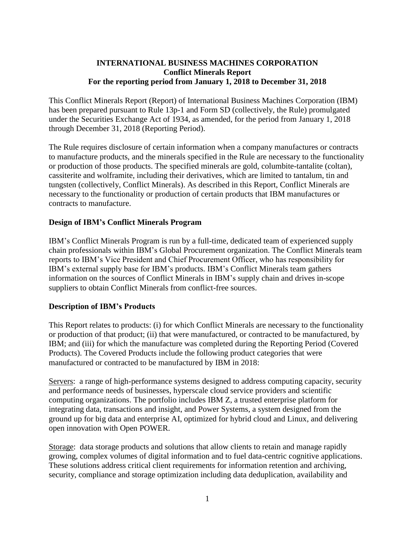### **INTERNATIONAL BUSINESS MACHINES CORPORATION Conflict Minerals Report For the reporting period from January 1, 2018 to December 31, 2018**

This Conflict Minerals Report (Report) of International Business Machines Corporation (IBM) has been prepared pursuant to Rule 13p-1 and Form SD (collectively, the Rule) promulgated under the Securities Exchange Act of 1934, as amended, for the period from January 1, 2018 through December 31, 2018 (Reporting Period).

The Rule requires disclosure of certain information when a company manufactures or contracts to manufacture products, and the minerals specified in the Rule are necessary to the functionality or production of those products. The specified minerals are gold, columbite-tantalite (coltan), cassiterite and wolframite, including their derivatives, which are limited to tantalum, tin and tungsten (collectively, Conflict Minerals). As described in this Report, Conflict Minerals are necessary to the functionality or production of certain products that IBM manufactures or contracts to manufacture.

#### **Design of IBM's Conflict Minerals Program**

IBM's Conflict Minerals Program is run by a full-time, dedicated team of experienced supply chain professionals within IBM's Global Procurement organization. The Conflict Minerals team reports to IBM's Vice President and Chief Procurement Officer, who has responsibility for IBM's external supply base for IBM's products. IBM's Conflict Minerals team gathers information on the sources of Conflict Minerals in IBM's supply chain and drives in-scope suppliers to obtain Conflict Minerals from conflict-free sources.

#### **Description of IBM's Products**

This Report relates to products: (i) for which Conflict Minerals are necessary to the functionality or production of that product; (ii) that were manufactured, or contracted to be manufactured, by IBM; and (iii) for which the manufacture was completed during the Reporting Period (Covered Products). The Covered Products include the following product categories that were manufactured or contracted to be manufactured by IBM in 2018:

Servers: a range of high-performance systems designed to address computing capacity, security and performance needs of businesses, hyperscale cloud service providers and scientific computing organizations. The portfolio includes IBM Z, a trusted enterprise platform for integrating data, transactions and insight, and Power Systems, a system designed from the ground up for big data and enterprise AI, optimized for hybrid cloud and Linux, and delivering open innovation with Open POWER.

Storage: data storage products and solutions that allow clients to retain and manage rapidly growing, complex volumes of digital information and to fuel data-centric cognitive applications. These solutions address critical client requirements for information retention and archiving, security, compliance and storage optimization including data deduplication, availability and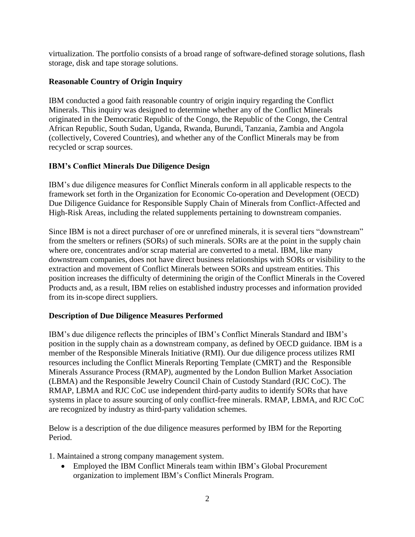virtualization. The portfolio consists of a broad range of software-defined storage solutions, flash storage, disk and tape storage solutions.

## **Reasonable Country of Origin Inquiry**

IBM conducted a good faith reasonable country of origin inquiry regarding the Conflict Minerals. This inquiry was designed to determine whether any of the Conflict Minerals originated in the Democratic Republic of the Congo, the Republic of the Congo, the Central African Republic, South Sudan, Uganda, Rwanda, Burundi, Tanzania, Zambia and Angola (collectively, Covered Countries), and whether any of the Conflict Minerals may be from recycled or scrap sources.

## **IBM's Conflict Minerals Due Diligence Design**

IBM's due diligence measures for Conflict Minerals conform in all applicable respects to the framework set forth in the Organization for Economic Co-operation and Development (OECD) Due Diligence Guidance for Responsible Supply Chain of Minerals from Conflict-Affected and High-Risk Areas, including the related supplements pertaining to downstream companies.

Since IBM is not a direct purchaser of ore or unrefined minerals, it is several tiers "downstream" from the smelters or refiners (SORs) of such minerals. SORs are at the point in the supply chain where ore, concentrates and/or scrap material are converted to a metal. IBM, like many downstream companies, does not have direct business relationships with SORs or visibility to the extraction and movement of Conflict Minerals between SORs and upstream entities. This position increases the difficulty of determining the origin of the Conflict Minerals in the Covered Products and, as a result, IBM relies on established industry processes and information provided from its in-scope direct suppliers.

### **Description of Due Diligence Measures Performed**

IBM's due diligence reflects the principles of IBM's Conflict Minerals Standard and IBM's position in the supply chain as a downstream company, as defined by OECD guidance. IBM is a member of the Responsible Minerals Initiative (RMI). Our due diligence process utilizes RMI resources including the Conflict Minerals Reporting Template (CMRT) and the Responsible Minerals Assurance Process (RMAP), augmented by the London Bullion Market Association (LBMA) and the Responsible Jewelry Council Chain of Custody Standard (RJC CoC). The RMAP, LBMA and RJC CoC use independent third-party audits to identify SORs that have systems in place to assure sourcing of only conflict-free minerals. RMAP, LBMA, and RJC CoC are recognized by industry as third-party validation schemes.

Below is a description of the due diligence measures performed by IBM for the Reporting Period.

1. Maintained a strong company management system.

• Employed the IBM Conflict Minerals team within IBM's Global Procurement organization to implement IBM's Conflict Minerals Program.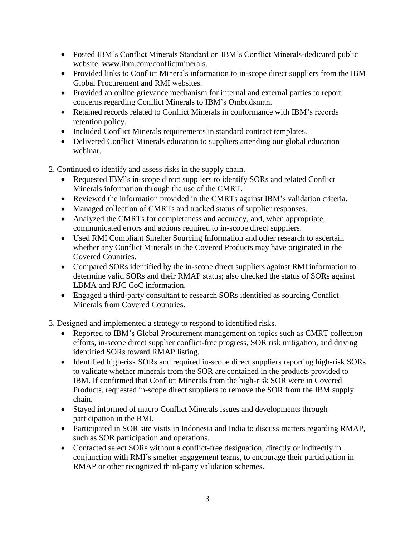- Posted IBM's Conflict Minerals Standard on IBM's Conflict Minerals-dedicated public website, www.ibm.com/conflictminerals.
- Provided links to Conflict Minerals information to in-scope direct suppliers from the IBM Global Procurement and RMI websites.
- Provided an online grievance mechanism for internal and external parties to report concerns regarding Conflict Minerals to IBM's Ombudsman.
- Retained records related to Conflict Minerals in conformance with IBM's records retention policy.
- Included Conflict Minerals requirements in standard contract templates.
- Delivered Conflict Minerals education to suppliers attending our global education webinar.
- 2. Continued to identify and assess risks in the supply chain.
	- Requested IBM's in-scope direct suppliers to identify SORs and related Conflict Minerals information through the use of the CMRT.
	- Reviewed the information provided in the CMRTs against IBM's validation criteria.
	- Managed collection of CMRTs and tracked status of supplier responses.
	- Analyzed the CMRTs for completeness and accuracy, and, when appropriate, communicated errors and actions required to in-scope direct suppliers.
	- Used RMI Compliant Smelter Sourcing Information and other research to ascertain whether any Conflict Minerals in the Covered Products may have originated in the Covered Countries.
	- Compared SORs identified by the in-scope direct suppliers against RMI information to determine valid SORs and their RMAP status; also checked the status of SORs against LBMA and RJC CoC information.
	- Engaged a third-party consultant to research SORs identified as sourcing Conflict Minerals from Covered Countries.
- 3. Designed and implemented a strategy to respond to identified risks.
	- Reported to IBM's Global Procurement management on topics such as CMRT collection efforts, in-scope direct supplier conflict-free progress, SOR risk mitigation, and driving identified SORs toward RMAP listing.
	- Identified high-risk SORs and required in-scope direct suppliers reporting high-risk SORs to validate whether minerals from the SOR are contained in the products provided to IBM. If confirmed that Conflict Minerals from the high-risk SOR were in Covered Products, requested in-scope direct suppliers to remove the SOR from the IBM supply chain.
	- Stayed informed of macro Conflict Minerals issues and developments through participation in the RMI.
	- Participated in SOR site visits in Indonesia and India to discuss matters regarding RMAP, such as SOR participation and operations.
	- Contacted select SORs without a conflict-free designation, directly or indirectly in conjunction with RMI's smelter engagement teams, to encourage their participation in RMAP or other recognized third-party validation schemes.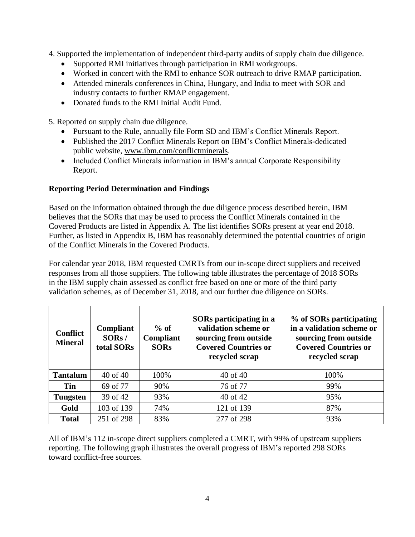- 4. Supported the implementation of independent third-party audits of supply chain due diligence.
	- Supported RMI initiatives through participation in RMI workgroups.
	- Worked in concert with the RMI to enhance SOR outreach to drive RMAP participation.
	- Attended minerals conferences in China, Hungary, and India to meet with SOR and industry contacts to further RMAP engagement.
	- Donated funds to the RMI Initial Audit Fund.

5. Reported on supply chain due diligence.

- Pursuant to the Rule, annually file Form SD and IBM's Conflict Minerals Report.
- Published the 2017 Conflict Minerals Report on IBM's Conflict Minerals-dedicated public website, [www.ibm.com/conflictminerals.](http://www.ibm.com/conflictminerals)
- Included Conflict Minerals information in IBM's annual Corporate Responsibility Report.

### **Reporting Period Determination and Findings**

Based on the information obtained through the due diligence process described herein, IBM believes that the SORs that may be used to process the Conflict Minerals contained in the Covered Products are listed in Appendix A. The list identifies SORs present at year end 2018. Further, as listed in Appendix B, IBM has reasonably determined the potential countries of origin of the Conflict Minerals in the Covered Products.

For calendar year 2018, IBM requested CMRTs from our in-scope direct suppliers and received responses from all those suppliers. The following table illustrates the percentage of 2018 SORs in the IBM supply chain assessed as conflict free based on one or more of the third party validation schemes, as of December 31, 2018, and our further due diligence on SORs.

| <b>Conflict</b><br><b>Mineral</b> | Compliant<br>SORS /<br>total SORs | $%$ of<br>Compliant<br><b>SORs</b> | SORs participating in a<br>validation scheme or<br>sourcing from outside<br><b>Covered Countries or</b><br>recycled scrap | % of SORs participating<br>in a validation scheme or<br>sourcing from outside<br><b>Covered Countries or</b><br>recycled scrap |
|-----------------------------------|-----------------------------------|------------------------------------|---------------------------------------------------------------------------------------------------------------------------|--------------------------------------------------------------------------------------------------------------------------------|
| <b>Tantalum</b>                   | 40 of 40                          | 100%                               | 40 of 40                                                                                                                  | 100%                                                                                                                           |
| <b>Tin</b>                        | 69 of 77                          | 90%                                | 76 of 77                                                                                                                  | 99%                                                                                                                            |
| <b>Tungsten</b>                   | 39 of 42                          | 93%                                | 40 of 42                                                                                                                  | 95%                                                                                                                            |
| Gold                              | 103 of 139                        | 74%                                | 121 of 139                                                                                                                | 87%                                                                                                                            |
| <b>Total</b>                      | 251 of 298                        | 83%                                | 277 of 298                                                                                                                | 93%                                                                                                                            |

All of IBM's 112 in-scope direct suppliers completed a CMRT, with 99% of upstream suppliers reporting. The following graph illustrates the overall progress of IBM's reported 298 SORs toward conflict-free sources.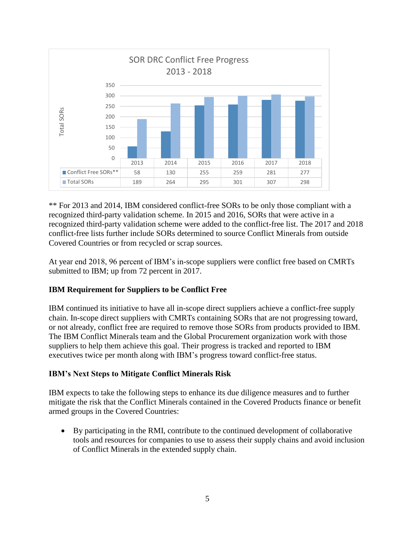

\*\* For 2013 and 2014, IBM considered conflict-free SORs to be only those compliant with a recognized third-party validation scheme. In 2015 and 2016, SORs that were active in a recognized third-party validation scheme were added to the conflict-free list. The 2017 and 2018 conflict-free lists further include SORs determined to source Conflict Minerals from outside Covered Countries or from recycled or scrap sources.

At year end 2018, 96 percent of IBM's in-scope suppliers were conflict free based on CMRTs submitted to IBM; up from 72 percent in 2017.

### **IBM Requirement for Suppliers to be Conflict Free**

IBM continued its initiative to have all in-scope direct suppliers achieve a conflict-free supply chain. In-scope direct suppliers with CMRTs containing SORs that are not progressing toward, or not already, conflict free are required to remove those SORs from products provided to IBM. The IBM Conflict Minerals team and the Global Procurement organization work with those suppliers to help them achieve this goal. Their progress is tracked and reported to IBM executives twice per month along with IBM's progress toward conflict-free status.

#### **IBM's Next Steps to Mitigate Conflict Minerals Risk**

IBM expects to take the following steps to enhance its due diligence measures and to further mitigate the risk that the Conflict Minerals contained in the Covered Products finance or benefit armed groups in the Covered Countries:

• By participating in the RMI, contribute to the continued development of collaborative tools and resources for companies to use to assess their supply chains and avoid inclusion of Conflict Minerals in the extended supply chain.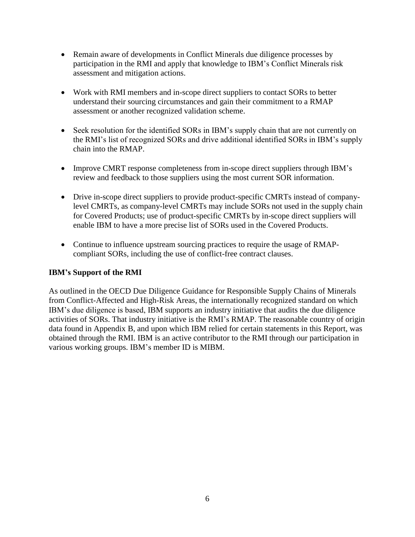- Remain aware of developments in Conflict Minerals due diligence processes by participation in the RMI and apply that knowledge to IBM's Conflict Minerals risk assessment and mitigation actions.
- Work with RMI members and in-scope direct suppliers to contact SORs to better understand their sourcing circumstances and gain their commitment to a RMAP assessment or another recognized validation scheme.
- Seek resolution for the identified SORs in IBM's supply chain that are not currently on the RMI's list of recognized SORs and drive additional identified SORs in IBM's supply chain into the RMAP.
- Improve CMRT response completeness from in-scope direct suppliers through IBM's review and feedback to those suppliers using the most current SOR information.
- Drive in-scope direct suppliers to provide product-specific CMRTs instead of companylevel CMRTs, as company-level CMRTs may include SORs not used in the supply chain for Covered Products; use of product-specific CMRTs by in-scope direct suppliers will enable IBM to have a more precise list of SORs used in the Covered Products.
- Continue to influence upstream sourcing practices to require the usage of RMAPcompliant SORs, including the use of conflict-free contract clauses.

### **IBM's Support of the RMI**

As outlined in the OECD Due Diligence Guidance for Responsible Supply Chains of Minerals from Conflict-Affected and High-Risk Areas, the internationally recognized standard on which IBM's due diligence is based, IBM supports an industry initiative that audits the due diligence activities of SORs. That industry initiative is the RMI's RMAP. The reasonable country of origin data found in Appendix B, and upon which IBM relied for certain statements in this Report, was obtained through the RMI. IBM is an active contributor to the RMI through our participation in various working groups. IBM's member ID is MIBM.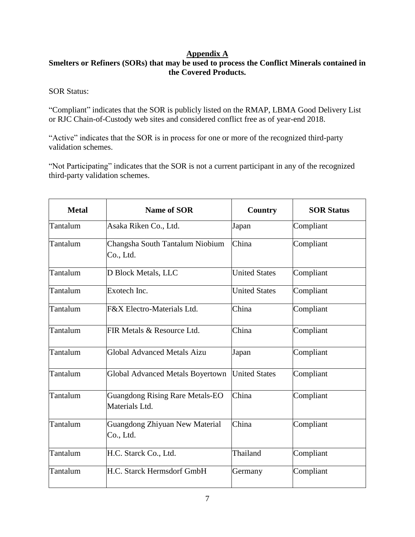## **Appendix A**

# **Smelters or Refiners (SORs) that may be used to process the Conflict Minerals contained in the Covered Products.**

SOR Status:

"Compliant" indicates that the SOR is publicly listed on the RMAP, LBMA Good Delivery List or RJC Chain-of-Custody web sites and considered conflict free as of year-end 2018.

"Active" indicates that the SOR is in process for one or more of the recognized third-party validation schemes.

"Not Participating" indicates that the SOR is not a current participant in any of the recognized third-party validation schemes.

| <b>Metal</b> | <b>Name of SOR</b>                                       | Country              | <b>SOR Status</b> |
|--------------|----------------------------------------------------------|----------------------|-------------------|
| Tantalum     | Asaka Riken Co., Ltd.                                    | Japan                | Compliant         |
| Tantalum     | Changsha South Tantalum Niobium<br>Co., Ltd.             | China                | Compliant         |
| Tantalum     | D Block Metals, LLC                                      | <b>United States</b> | Compliant         |
| Tantalum     | Exotech Inc.                                             | <b>United States</b> | Compliant         |
| Tantalum     | F&X Electro-Materials Ltd.                               | China                | Compliant         |
| Tantalum     | FIR Metals & Resource Ltd.                               | China                | Compliant         |
| Tantalum     | <b>Global Advanced Metals Aizu</b>                       | Japan                | Compliant         |
| Tantalum     | Global Advanced Metals Boyertown                         | <b>United States</b> | Compliant         |
| Tantalum     | <b>Guangdong Rising Rare Metals-EO</b><br>Materials Ltd. | China                | Compliant         |
| Tantalum     | Guangdong Zhiyuan New Material<br>Co., Ltd.              | China                | Compliant         |
| Tantalum     | H.C. Starck Co., Ltd.                                    | Thailand             | Compliant         |
| Tantalum     | H.C. Starck Hermsdorf GmbH                               | Germany              | Compliant         |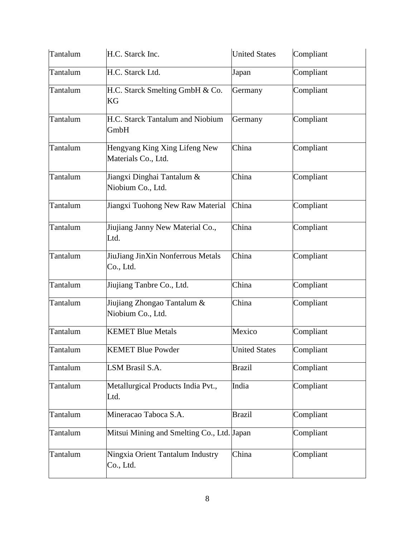| Tantalum | H.C. Starck Inc.                                     | <b>United States</b> | Compliant |
|----------|------------------------------------------------------|----------------------|-----------|
| Tantalum | H.C. Starck Ltd.                                     | Japan                | Compliant |
| Tantalum | H.C. Starck Smelting GmbH & Co.<br>KG                | Germany              | Compliant |
| Tantalum | H.C. Starck Tantalum and Niobium<br>GmbH             | Germany              | Compliant |
| Tantalum | Hengyang King Xing Lifeng New<br>Materials Co., Ltd. | China                | Compliant |
| Tantalum | Jiangxi Dinghai Tantalum &<br>Niobium Co., Ltd.      | China                | Compliant |
| Tantalum | Jiangxi Tuohong New Raw Material                     | China                | Compliant |
| Tantalum | Jiujiang Janny New Material Co.,<br>Ltd.             | China                | Compliant |
| Tantalum | JiuJiang JinXin Nonferrous Metals<br>Co., Ltd.       | China                | Compliant |
| Tantalum | Jiujiang Tanbre Co., Ltd.                            | China                | Compliant |
| Tantalum | Jiujiang Zhongao Tantalum &<br>Niobium Co., Ltd.     | China                | Compliant |
| Tantalum | <b>KEMET Blue Metals</b>                             | Mexico               | Compliant |
| Tantalum | <b>KEMET Blue Powder</b>                             | <b>United States</b> | Compliant |
| Tantalum | LSM Brasil S.A.                                      | <b>Brazil</b>        | Compliant |
| Tantalum | Metallurgical Products India Pvt.,<br>Ltd.           | India                | Compliant |
| Tantalum | Mineracao Taboca S.A.                                | <b>Brazil</b>        | Compliant |
| Tantalum | Mitsui Mining and Smelting Co., Ltd. Japan           |                      | Compliant |
| Tantalum | Ningxia Orient Tantalum Industry<br>Co., Ltd.        | China                | Compliant |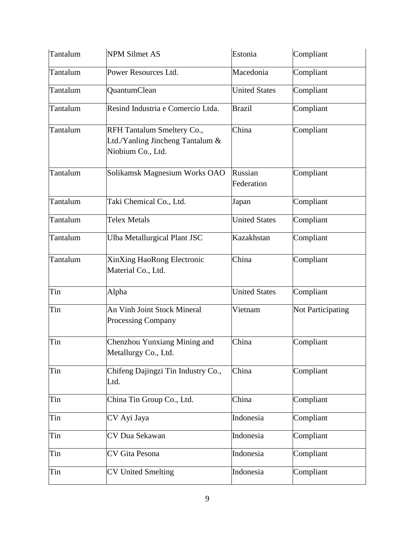| Tantalum | <b>NPM Silmet AS</b>                                                                | Estonia               | Compliant                |
|----------|-------------------------------------------------------------------------------------|-----------------------|--------------------------|
| Tantalum | Power Resources Ltd.                                                                | Macedonia             | Compliant                |
| Tantalum | QuantumClean                                                                        | <b>United States</b>  | Compliant                |
| Tantalum | Resind Industria e Comercio Ltda.                                                   | <b>Brazil</b>         | Compliant                |
| Tantalum | RFH Tantalum Smeltery Co.,<br>Ltd./Yanling Jincheng Tantalum &<br>Niobium Co., Ltd. | China                 | Compliant                |
| Tantalum | Solikamsk Magnesium Works OAO                                                       | Russian<br>Federation | Compliant                |
| Tantalum | Taki Chemical Co., Ltd.                                                             | Japan                 | Compliant                |
| Tantalum | <b>Telex Metals</b>                                                                 | <b>United States</b>  | Compliant                |
| Tantalum | <b>Ulba Metallurgical Plant JSC</b>                                                 | Kazakhstan            | Compliant                |
| Tantalum | XinXing HaoRong Electronic<br>Material Co., Ltd.                                    | China                 | Compliant                |
| Tin      | Alpha                                                                               | <b>United States</b>  | Compliant                |
| Tin      | An Vinh Joint Stock Mineral<br><b>Processing Company</b>                            | Vietnam               | <b>Not Participating</b> |
| Tin      | Chenzhou Yunxiang Mining and<br>Metallurgy Co., Ltd.                                | China                 | Compliant                |
| Tin      | Chifeng Dajingzi Tin Industry Co.,<br>Ltd.                                          | China                 | Compliant                |
| Tin      | China Tin Group Co., Ltd.                                                           | China                 | Compliant                |
| Tin      | CV Ayi Jaya                                                                         | Indonesia             | Compliant                |
| Tin      | CV Dua Sekawan                                                                      | Indonesia             | Compliant                |
| Tin      | CV Gita Pesona                                                                      | Indonesia             | Compliant                |
| Tin      | <b>CV United Smelting</b>                                                           | Indonesia             | Compliant                |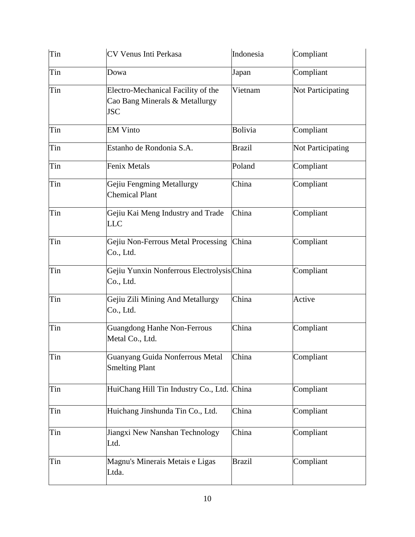| Tin | CV Venus Inti Perkasa                                                              | Indonesia     | Compliant         |
|-----|------------------------------------------------------------------------------------|---------------|-------------------|
| Tin | Dowa                                                                               | Japan         | Compliant         |
| Tin | Electro-Mechanical Facility of the<br>Cao Bang Minerals & Metallurgy<br><b>JSC</b> | Vietnam       | Not Participating |
| Tin | <b>EM Vinto</b>                                                                    | Bolivia       | Compliant         |
| Tin | Estanho de Rondonia S.A.                                                           | <b>Brazil</b> | Not Participating |
| Tin | Fenix Metals                                                                       | Poland        | Compliant         |
| Tin | Gejiu Fengming Metallurgy<br><b>Chemical Plant</b>                                 | China         | Compliant         |
| Tin | Gejiu Kai Meng Industry and Trade<br><b>LLC</b>                                    | China         | Compliant         |
| Tin | Gejiu Non-Ferrous Metal Processing<br>Co., Ltd.                                    | China         | Compliant         |
| Tin | Gejiu Yunxin Nonferrous ElectrolysisChina<br>Co., Ltd.                             |               | Compliant         |
| Tin | Gejiu Zili Mining And Metallurgy<br>Co., Ltd.                                      | China         | Active            |
| Tin | <b>Guangdong Hanhe Non-Ferrous</b><br>Metal Co., Ltd.                              | China         | Compliant         |
| Tin | Guanyang Guida Nonferrous Metal<br><b>Smelting Plant</b>                           | China         | Compliant         |
| Tin | HuiChang Hill Tin Industry Co., Ltd. China                                         |               | Compliant         |
| Tin | Huichang Jinshunda Tin Co., Ltd.                                                   | China         | Compliant         |
| Tin | Jiangxi New Nanshan Technology<br>Ltd.                                             | China         | Compliant         |
| Tin | Magnu's Minerais Metais e Ligas<br>Ltda.                                           | <b>Brazil</b> | Compliant         |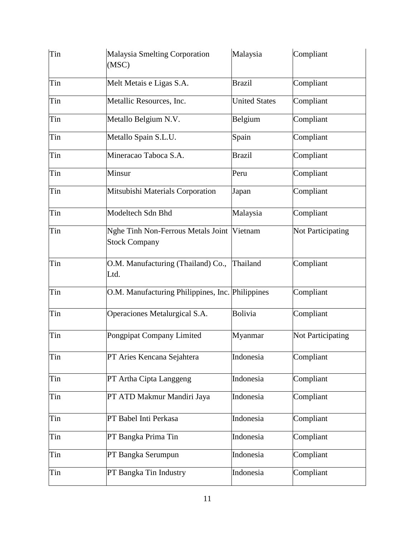| Tin | Malaysia Smelting Corporation<br>(MSC)                     | Malaysia             | Compliant         |
|-----|------------------------------------------------------------|----------------------|-------------------|
| Tin | Melt Metais e Ligas S.A.                                   | <b>Brazil</b>        | Compliant         |
| Tin | Metallic Resources, Inc.                                   | <b>United States</b> | Compliant         |
| Tin | Metallo Belgium N.V.                                       | Belgium              | Compliant         |
| Tin | Metallo Spain S.L.U.                                       | Spain                | Compliant         |
| Tin | Mineracao Taboca S.A.                                      | <b>Brazil</b>        | Compliant         |
| Tin | Minsur                                                     | Peru                 | Compliant         |
| Tin | Mitsubishi Materials Corporation                           | Japan                | Compliant         |
| Tin | Modeltech Sdn Bhd                                          | Malaysia             | Compliant         |
| Tin | Nghe Tinh Non-Ferrous Metals Joint<br><b>Stock Company</b> | Vietnam              | Not Participating |
| Tin | O.M. Manufacturing (Thailand) Co.,<br>Ltd.                 | Thailand             | Compliant         |
| Tin | O.M. Manufacturing Philippines, Inc. Philippines           |                      | Compliant         |
| Tin | Operaciones Metalurgical S.A.                              | Bolivia              | Compliant         |
| Tin | Pongpipat Company Limited                                  | Myanmar              | Not Participating |
| Tin | PT Aries Kencana Sejahtera                                 | Indonesia            | Compliant         |
| Tin | PT Artha Cipta Langgeng                                    | Indonesia            | Compliant         |
| Tin | PT ATD Makmur Mandiri Jaya                                 | Indonesia            | Compliant         |
| Tin | PT Babel Inti Perkasa                                      | Indonesia            | Compliant         |
| Tin | PT Bangka Prima Tin                                        | Indonesia            | Compliant         |
| Tin | PT Bangka Serumpun                                         | Indonesia            | Compliant         |
| Tin | PT Bangka Tin Industry                                     | Indonesia            | Compliant         |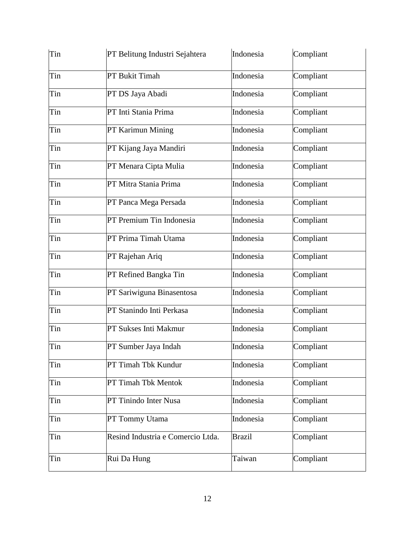| Tin | PT Belitung Industri Sejahtera    | Indonesia     | Compliant |
|-----|-----------------------------------|---------------|-----------|
| Tin | PT Bukit Timah                    | Indonesia     | Compliant |
| Tin | PT DS Jaya Abadi                  | Indonesia     | Compliant |
| Tin | PT Inti Stania Prima              | Indonesia     | Compliant |
| Tin | PT Karimun Mining                 | Indonesia     | Compliant |
| Tin | PT Kijang Jaya Mandiri            | Indonesia     | Compliant |
| Tin | PT Menara Cipta Mulia             | Indonesia     | Compliant |
| Tin | PT Mitra Stania Prima             | Indonesia     | Compliant |
| Tin | PT Panca Mega Persada             | Indonesia     | Compliant |
| Tin | PT Premium Tin Indonesia          | Indonesia     | Compliant |
| Tin | PT Prima Timah Utama              | Indonesia     | Compliant |
| Tin | PT Rajehan Ariq                   | Indonesia     | Compliant |
| Tin | PT Refined Bangka Tin             | Indonesia     | Compliant |
| Tin | PT Sariwiguna Binasentosa         | Indonesia     | Compliant |
| Tin | PT Stanindo Inti Perkasa          | Indonesia     | Compliant |
| Tin | PT Sukses Inti Makmur             | Indonesia     | Compliant |
| Tin | PT Sumber Jaya Indah              | Indonesia     | Compliant |
| Tin | PT Timah Tbk Kundur               | Indonesia     | Compliant |
| Tin | PT Timah Tbk Mentok               | Indonesia     | Compliant |
| Tin | PT Tinindo Inter Nusa             | Indonesia     | Compliant |
| Tin | PT Tommy Utama                    | Indonesia     | Compliant |
| Tin | Resind Industria e Comercio Ltda. | <b>Brazil</b> | Compliant |
| Tin | Rui Da Hung                       | Taiwan        | Compliant |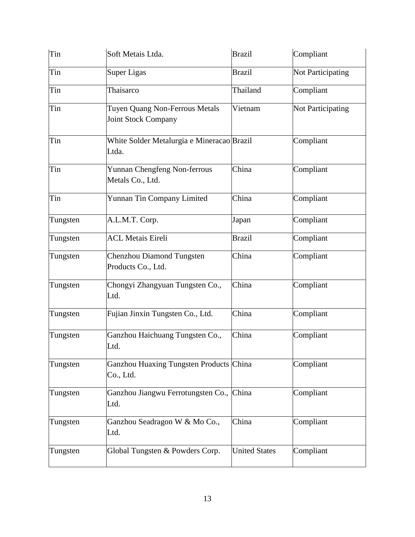| Tin      | Soft Metais Ltda.                                            | <b>Brazil</b>        | Compliant         |
|----------|--------------------------------------------------------------|----------------------|-------------------|
| Tin      | <b>Super Ligas</b>                                           | <b>Brazil</b>        | Not Participating |
| Tin      | Thaisarco                                                    | Thailand             | Compliant         |
| Tin      | Tuyen Quang Non-Ferrous Metals<br><b>Joint Stock Company</b> | Vietnam              | Not Participating |
| Tin      | White Solder Metalurgia e Mineracao Brazil<br>Ltda.          |                      | Compliant         |
| Tin      | Yunnan Chengfeng Non-ferrous<br>Metals Co., Ltd.             | China                | Compliant         |
| Tin      | Yunnan Tin Company Limited                                   | China                | Compliant         |
| Tungsten | A.L.M.T. Corp.                                               | Japan                | Compliant         |
| Tungsten | <b>ACL Metais Eireli</b>                                     | <b>Brazil</b>        | Compliant         |
| Tungsten | <b>Chenzhou Diamond Tungsten</b><br>Products Co., Ltd.       | China                | Compliant         |
| Tungsten | Chongyi Zhangyuan Tungsten Co.,<br>Ltd.                      | China                | Compliant         |
| Tungsten | Fujian Jinxin Tungsten Co., Ltd.                             | China                | Compliant         |
| Tungsten | Ganzhou Haichuang Tungsten Co.,<br>Ltd.                      | China                | Compliant         |
| Tungsten | Ganzhou Huaxing Tungsten Products China<br>Co., Ltd.         |                      | Compliant         |
| Tungsten | Ganzhou Jiangwu Ferrotungsten Co., China<br>Ltd.             |                      | Compliant         |
| Tungsten | Ganzhou Seadragon W & Mo Co.,<br>Ltd.                        | China                | Compliant         |
| Tungsten | Global Tungsten & Powders Corp.                              | <b>United States</b> | Compliant         |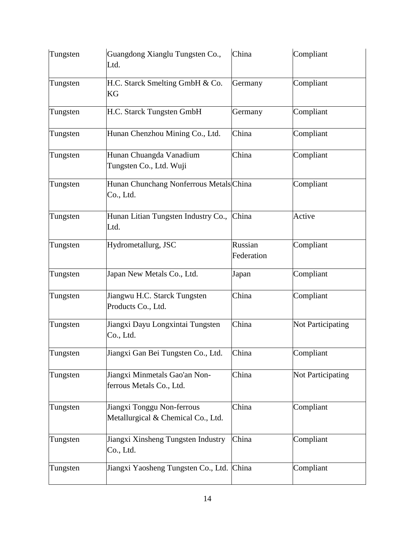| Tungsten | Guangdong Xianglu Tungsten Co.,<br>Ltd.                          | China                 | Compliant                |
|----------|------------------------------------------------------------------|-----------------------|--------------------------|
| Tungsten | H.C. Starck Smelting GmbH & Co.<br>KG                            | Germany               | Compliant                |
| Tungsten | H.C. Starck Tungsten GmbH                                        | Germany               | Compliant                |
| Tungsten | Hunan Chenzhou Mining Co., Ltd.                                  | China                 | Compliant                |
| Tungsten | Hunan Chuangda Vanadium<br>Tungsten Co., Ltd. Wuji               | China                 | Compliant                |
| Tungsten | Hunan Chunchang Nonferrous Metals China<br>Co., Ltd.             |                       | Compliant                |
| Tungsten | Hunan Litian Tungsten Industry Co.,<br>Ltd.                      | China                 | Active                   |
| Tungsten | Hydrometallurg, JSC                                              | Russian<br>Federation | Compliant                |
| Tungsten | Japan New Metals Co., Ltd.                                       | Japan                 | Compliant                |
| Tungsten | Jiangwu H.C. Starck Tungsten<br>Products Co., Ltd.               | China                 | Compliant                |
| Tungsten | Jiangxi Dayu Longxintai Tungsten<br>Co., Ltd.                    | China                 | Not Participating        |
| Tungsten | Jiangxi Gan Bei Tungsten Co., Ltd.                               | China                 | Compliant                |
| Tungsten | Jiangxi Minmetals Gao'an Non-<br>ferrous Metals Co., Ltd.        | China                 | <b>Not Participating</b> |
| Tungsten | Jiangxi Tonggu Non-ferrous<br>Metallurgical & Chemical Co., Ltd. | China                 | Compliant                |
| Tungsten | Jiangxi Xinsheng Tungsten Industry<br>Co., Ltd.                  | China                 | Compliant                |
| Tungsten | Jiangxi Yaosheng Tungsten Co., Ltd.                              | China                 | Compliant                |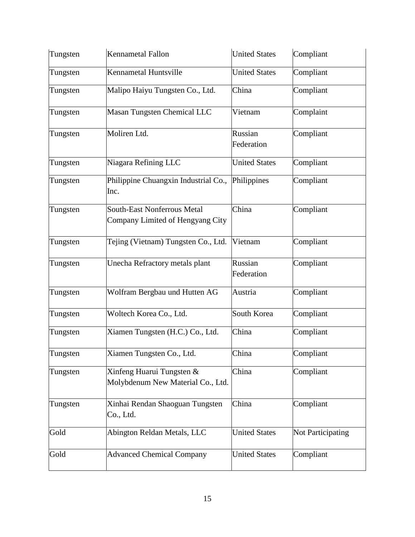| Tungsten | <b>Kennametal Fallon</b>                                               | <b>United States</b>  | Compliant         |
|----------|------------------------------------------------------------------------|-----------------------|-------------------|
| Tungsten | Kennametal Huntsville                                                  | <b>United States</b>  | Compliant         |
| Tungsten | Malipo Haiyu Tungsten Co., Ltd.                                        | China                 | Compliant         |
| Tungsten | Masan Tungsten Chemical LLC                                            | Vietnam               | Complaint         |
| Tungsten | Moliren Ltd.                                                           | Russian<br>Federation | Compliant         |
| Tungsten | Niagara Refining LLC                                                   | <b>United States</b>  | Compliant         |
| Tungsten | Philippine Chuangxin Industrial Co., Philippines<br>Inc.               |                       | Compliant         |
| Tungsten | <b>South-East Nonferrous Metal</b><br>Company Limited of Hengyang City | China                 | Compliant         |
| Tungsten | Tejing (Vietnam) Tungsten Co., Ltd.                                    | Vietnam               | Compliant         |
| Tungsten | Unecha Refractory metals plant                                         | Russian<br>Federation | Compliant         |
| Tungsten | Wolfram Bergbau und Hutten AG                                          | Austria               | Compliant         |
| Tungsten | Woltech Korea Co., Ltd.                                                | South Korea           | Compliant         |
| Tungsten | Xiamen Tungsten (H.C.) Co., Ltd.                                       | China                 | Compliant         |
| Tungsten | Xiamen Tungsten Co., Ltd.                                              | China                 | Compliant         |
| Tungsten | Xinfeng Huarui Tungsten &<br>Molybdenum New Material Co., Ltd.         | China                 | Compliant         |
| Tungsten | Xinhai Rendan Shaoguan Tungsten<br>Co., Ltd.                           | China                 | Compliant         |
| Gold     | Abington Reldan Metals, LLC                                            | <b>United States</b>  | Not Participating |
| Gold     | <b>Advanced Chemical Company</b>                                       | <b>United States</b>  | Compliant         |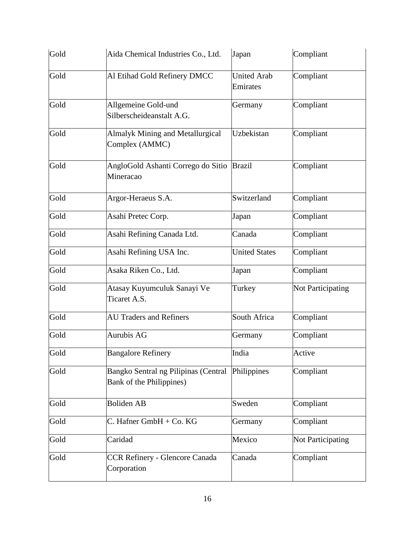| Gold | Aida Chemical Industries Co., Ltd.                               | Japan                          | Compliant                |
|------|------------------------------------------------------------------|--------------------------------|--------------------------|
| Gold | Al Etihad Gold Refinery DMCC                                     | <b>United Arab</b><br>Emirates | Compliant                |
| Gold | Allgemeine Gold-und<br>Silberscheideanstalt A.G.                 | Germany                        | Compliant                |
| Gold | <b>Almalyk Mining and Metallurgical</b><br>Complex (AMMC)        | Uzbekistan                     | Compliant                |
| Gold | AngloGold Ashanti Corrego do Sitio<br>Mineracao                  | <b>Brazil</b>                  | Compliant                |
| Gold | Argor-Heraeus S.A.                                               | Switzerland                    | Compliant                |
| Gold | Asahi Pretec Corp.                                               | Japan                          | Compliant                |
| Gold | Asahi Refining Canada Ltd.                                       | Canada                         | Compliant                |
| Gold | Asahi Refining USA Inc.                                          | <b>United States</b>           | Compliant                |
| Gold | Asaka Riken Co., Ltd.                                            | Japan                          | Compliant                |
| Gold | Atasay Kuyumculuk Sanayi Ve<br>Ticaret A.S.                      | Turkey                         | Not Participating        |
| Gold | <b>AU Traders and Refiners</b>                                   | South Africa                   | Compliant                |
| Gold | <b>Aurubis AG</b>                                                | Germany                        | Compliant                |
| Gold | <b>Bangalore Refinery</b>                                        | India                          | Active                   |
| Gold | Bangko Sentral ng Pilipinas (Central<br>Bank of the Philippines) | Philippines                    | Compliant                |
| Gold | <b>Boliden AB</b>                                                | Sweden                         | Compliant                |
| Gold | C. Hafner GmbH + Co. KG                                          | Germany                        | Compliant                |
| Gold | Caridad                                                          | Mexico                         | <b>Not Participating</b> |
| Gold | <b>CCR Refinery - Glencore Canada</b><br>Corporation             | Canada                         | Compliant                |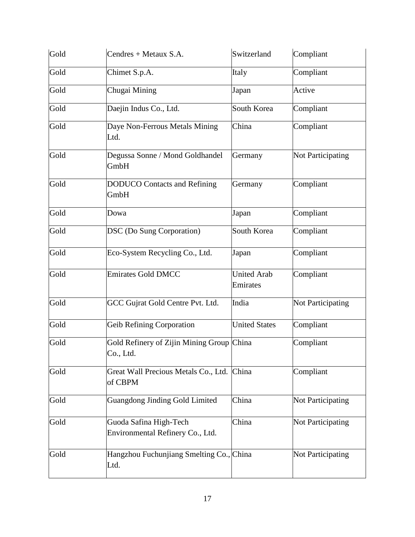| Gold | Cendres + Metaux S.A.                                      | Switzerland                    | Compliant                |
|------|------------------------------------------------------------|--------------------------------|--------------------------|
| Gold | Chimet S.p.A.                                              | Italy                          | Compliant                |
| Gold | Chugai Mining                                              | Japan                          | Active                   |
| Gold | Daejin Indus Co., Ltd.                                     | South Korea                    | Compliant                |
| Gold | Daye Non-Ferrous Metals Mining<br>Ltd.                     | China                          | Compliant                |
| Gold | Degussa Sonne / Mond Goldhandel<br>GmbH                    | Germany                        | <b>Not Participating</b> |
| Gold | <b>DODUCO</b> Contacts and Refining<br>GmbH                | Germany                        | Compliant                |
| Gold | Dowa                                                       | Japan                          | Compliant                |
| Gold | <b>DSC</b> (Do Sung Corporation)                           | South Korea                    | Compliant                |
| Gold | Eco-System Recycling Co., Ltd.                             | Japan                          | Compliant                |
| Gold | <b>Emirates Gold DMCC</b>                                  | <b>United Arab</b><br>Emirates | Compliant                |
| Gold | GCC Gujrat Gold Centre Pvt. Ltd.                           | India                          | Not Participating        |
| Gold | <b>Geib Refining Corporation</b>                           | <b>United States</b>           | Compliant                |
| Gold | Gold Refinery of Zijin Mining Group China<br>Co., Ltd.     |                                | Compliant                |
| Gold | Great Wall Precious Metals Co., Ltd. China<br>of CBPM      |                                | Compliant                |
| Gold | <b>Guangdong Jinding Gold Limited</b>                      | China                          | <b>Not Participating</b> |
| Gold | Guoda Safina High-Tech<br>Environmental Refinery Co., Ltd. | China                          | Not Participating        |
| Gold | Hangzhou Fuchunjiang Smelting Co., China<br>Ltd.           |                                | <b>Not Participating</b> |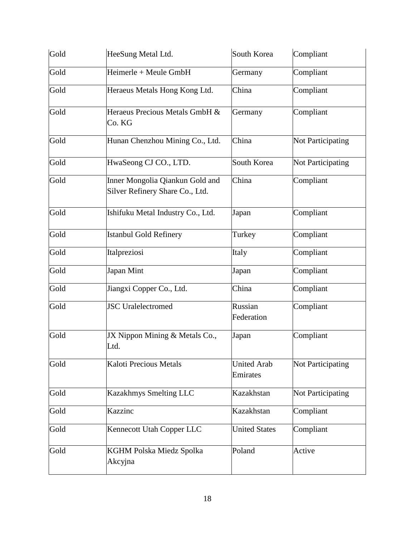| Gold | HeeSung Metal Ltd.                                                 | South Korea                    | Compliant                |
|------|--------------------------------------------------------------------|--------------------------------|--------------------------|
| Gold | Heimerle + Meule GmbH                                              | Germany                        | Compliant                |
| Gold | Heraeus Metals Hong Kong Ltd.                                      | China                          | Compliant                |
| Gold | Heraeus Precious Metals GmbH &<br>Co. KG                           | Germany                        | Compliant                |
| Gold | Hunan Chenzhou Mining Co., Ltd.                                    | China                          | Not Participating        |
| Gold | HwaSeong CJ CO., LTD.                                              | South Korea                    | <b>Not Participating</b> |
| Gold | Inner Mongolia Qiankun Gold and<br>Silver Refinery Share Co., Ltd. | China                          | Compliant                |
| Gold | Ishifuku Metal Industry Co., Ltd.                                  | Japan                          | Compliant                |
| Gold | <b>Istanbul Gold Refinery</b>                                      | Turkey                         | Compliant                |
| Gold | Italpreziosi                                                       | Italy                          | Compliant                |
| Gold | Japan Mint                                                         | Japan                          | Compliant                |
| Gold | Jiangxi Copper Co., Ltd.                                           | China                          | Compliant                |
| Gold | <b>JSC</b> Uralelectromed                                          | Russian<br>Federation          | Compliant                |
| Gold | JX Nippon Mining & Metals Co.,<br>Ltd.                             | Japan                          | Compliant                |
| Gold | Kaloti Precious Metals                                             | <b>United Arab</b><br>Emirates | Not Participating        |
| Gold | <b>Kazakhmys Smelting LLC</b>                                      | Kazakhstan                     | <b>Not Participating</b> |
| Gold | Kazzinc                                                            | Kazakhstan                     | Compliant                |
| Gold | Kennecott Utah Copper LLC                                          | <b>United States</b>           | Compliant                |
| Gold | KGHM Polska Miedz Spolka<br>Akcyjna                                | Poland                         | Active                   |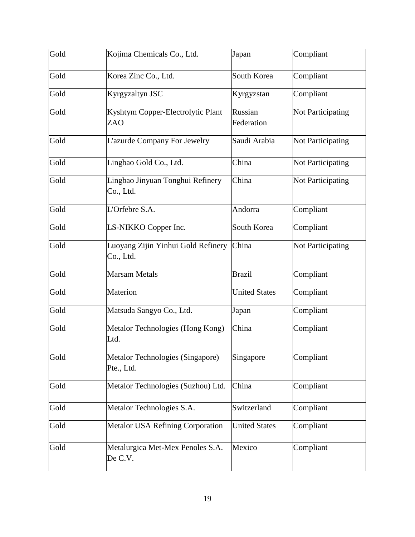| Gold | Kojima Chemicals Co., Ltd.                      | Japan                 | Compliant                |
|------|-------------------------------------------------|-----------------------|--------------------------|
| Gold | Korea Zinc Co., Ltd.                            | South Korea           | Compliant                |
| Gold | Kyrgyzaltyn JSC                                 | Kyrgyzstan            | Compliant                |
| Gold | Kyshtym Copper-Electrolytic Plant<br><b>ZAO</b> | Russian<br>Federation | Not Participating        |
| Gold | L'azurde Company For Jewelry                    | Saudi Arabia          | Not Participating        |
| Gold | Lingbao Gold Co., Ltd.                          | China                 | <b>Not Participating</b> |
| Gold | Lingbao Jinyuan Tonghui Refinery<br>Co., Ltd.   | China                 | Not Participating        |
| Gold | L'Orfebre S.A.                                  | Andorra               | Compliant                |
| Gold | LS-NIKKO Copper Inc.                            | South Korea           | Compliant                |
| Gold | Luoyang Zijin Yinhui Gold Refinery<br>Co., Ltd. | China                 | Not Participating        |
| Gold | <b>Marsam Metals</b>                            | <b>Brazil</b>         | Compliant                |
| Gold | Materion                                        | <b>United States</b>  | Compliant                |
| Gold | Matsuda Sangyo Co., Ltd.                        | Japan                 | Compliant                |
| Gold | Metalor Technologies (Hong Kong)<br>Ltd.        | China                 | Compliant                |
| Gold | Metalor Technologies (Singapore)<br>Pte., Ltd.  | Singapore             | Compliant                |
| Gold | Metalor Technologies (Suzhou) Ltd.              | China                 | Compliant                |
| Gold | Metalor Technologies S.A.                       | Switzerland           | Compliant                |
| Gold | Metalor USA Refining Corporation                | <b>United States</b>  | Compliant                |
| Gold | Metalurgica Met-Mex Penoles S.A.<br>De C.V.     | Mexico                | Compliant                |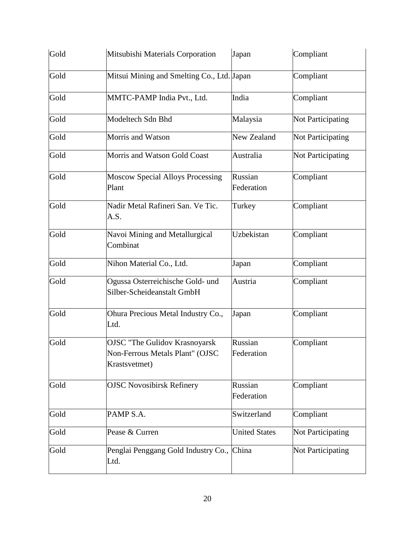| Gold | Mitsubishi Materials Corporation                                                         | Japan                 | Compliant                |
|------|------------------------------------------------------------------------------------------|-----------------------|--------------------------|
| Gold | Mitsui Mining and Smelting Co., Ltd. Japan                                               |                       | Compliant                |
| Gold | MMTC-PAMP India Pvt., Ltd.                                                               | India                 | Compliant                |
| Gold | Modeltech Sdn Bhd                                                                        | Malaysia              | Not Participating        |
| Gold | Morris and Watson                                                                        | New Zealand           | <b>Not Participating</b> |
| Gold | Morris and Watson Gold Coast                                                             | Australia             | Not Participating        |
| Gold | <b>Moscow Special Alloys Processing</b><br>Plant                                         | Russian<br>Federation | Compliant                |
| Gold | Nadir Metal Rafineri San. Ve Tic.<br>A.S.                                                | Turkey                | Compliant                |
| Gold | Navoi Mining and Metallurgical<br>Combinat                                               | Uzbekistan            | Compliant                |
| Gold | Nihon Material Co., Ltd.                                                                 | Japan                 | Compliant                |
| Gold | Ogussa Osterreichische Gold- und<br>Silber-Scheideanstalt GmbH                           | Austria               | Compliant                |
| Gold | Ohura Precious Metal Industry Co.,<br>Ltd.                                               | Japan                 | Compliant                |
| Gold | <b>OJSC</b> "The Gulidov Krasnoyarsk<br>Non-Ferrous Metals Plant" (OJSC<br>Krastsvetmet) | Russian<br>Federation | Compliant                |
| Gold | <b>OJSC Novosibirsk Refinery</b>                                                         | Russian<br>Federation | Compliant                |
| Gold | PAMP S.A.                                                                                | Switzerland           | Compliant                |
| Gold | Pease & Curren                                                                           | <b>United States</b>  | <b>Not Participating</b> |
| Gold | Penglai Penggang Gold Industry Co., China<br>Ltd.                                        |                       | <b>Not Participating</b> |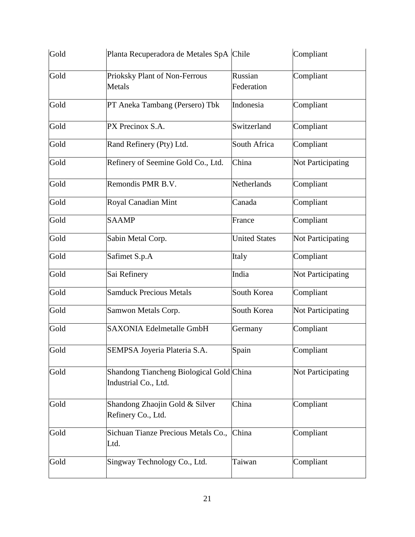| Gold | Planta Recuperadora de Metales SpA Chile                         |                       | Compliant                |
|------|------------------------------------------------------------------|-----------------------|--------------------------|
| Gold | Prioksky Plant of Non-Ferrous<br>Metals                          | Russian<br>Federation | Compliant                |
| Gold | PT Aneka Tambang (Persero) Tbk                                   | Indonesia             | Compliant                |
| Gold | PX Precinox S.A.                                                 | Switzerland           | Compliant                |
| Gold | Rand Refinery (Pty) Ltd.                                         | South Africa          | Compliant                |
| Gold | Refinery of Seemine Gold Co., Ltd.                               | China                 | <b>Not Participating</b> |
| Gold | Remondis PMR B.V.                                                | Netherlands           | Compliant                |
| Gold | Royal Canadian Mint                                              | Canada                | Compliant                |
| Gold | <b>SAAMP</b>                                                     | France                | Compliant                |
| Gold | Sabin Metal Corp.                                                | <b>United States</b>  | Not Participating        |
| Gold | Safimet S.p.A                                                    | Italy                 | Compliant                |
| Gold | Sai Refinery                                                     | India                 | Not Participating        |
| Gold | <b>Samduck Precious Metals</b>                                   | South Korea           | Compliant                |
| Gold | Samwon Metals Corp.                                              | South Korea           | Not Participating        |
| Gold | <b>SAXONIA Edelmetalle GmbH</b>                                  | Germany               | Compliant                |
| Gold | SEMPSA Joyeria Plateria S.A.                                     | Spain                 | Compliant                |
| Gold | Shandong Tiancheng Biological Gold China<br>Industrial Co., Ltd. |                       | Not Participating        |
| Gold | Shandong Zhaojin Gold & Silver<br>Refinery Co., Ltd.             | China                 | Compliant                |
| Gold | Sichuan Tianze Precious Metals Co.,<br>Ltd.                      | China                 | Compliant                |
| Gold | Singway Technology Co., Ltd.                                     | Taiwan                | Compliant                |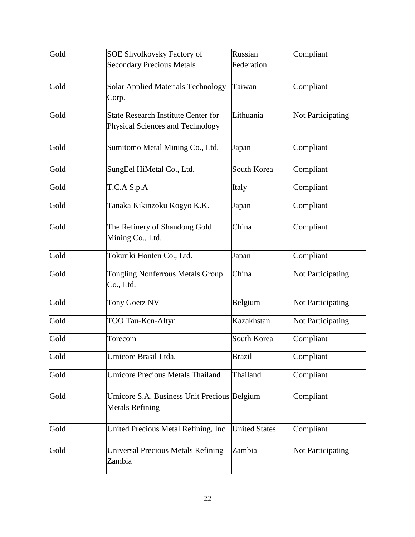| Gold | <b>SOE Shyolkovsky Factory of</b>                                              | Russian       | Compliant                |
|------|--------------------------------------------------------------------------------|---------------|--------------------------|
|      | <b>Secondary Precious Metals</b>                                               | Federation    |                          |
| Gold | <b>Solar Applied Materials Technology</b><br>Corp.                             | Taiwan        | Compliant                |
| Gold | <b>State Research Institute Center for</b><br>Physical Sciences and Technology | Lithuania     | <b>Not Participating</b> |
| Gold | Sumitomo Metal Mining Co., Ltd.                                                | Japan         | Compliant                |
| Gold | SungEel HiMetal Co., Ltd.                                                      | South Korea   | Compliant                |
| Gold | T.C.A S.p.A                                                                    | Italy         | Compliant                |
| Gold | Tanaka Kikinzoku Kogyo K.K.                                                    | Japan         | Compliant                |
| Gold | The Refinery of Shandong Gold<br>Mining Co., Ltd.                              | China         | Compliant                |
| Gold | Tokuriki Honten Co., Ltd.                                                      | Japan         | Compliant                |
| Gold | Tongling Nonferrous Metals Group<br>Co., Ltd.                                  | China         | <b>Not Participating</b> |
| Gold | Tony Goetz NV                                                                  | Belgium       | Not Participating        |
| Gold | TOO Tau-Ken-Altyn                                                              | Kazakhstan    | <b>Not Participating</b> |
| Gold | Torecom                                                                        | South Korea   | Compliant                |
| Gold | Umicore Brasil Ltda.                                                           | <b>Brazil</b> | Compliant                |
| Gold | <b>Umicore Precious Metals Thailand</b>                                        | Thailand      | Compliant                |
| Gold | Umicore S.A. Business Unit Precious Belgium<br><b>Metals Refining</b>          |               | Compliant                |
| Gold | United Precious Metal Refining, Inc. United States                             |               | Compliant                |
| Gold | <b>Universal Precious Metals Refining</b><br>Zambia                            | Zambia        | <b>Not Participating</b> |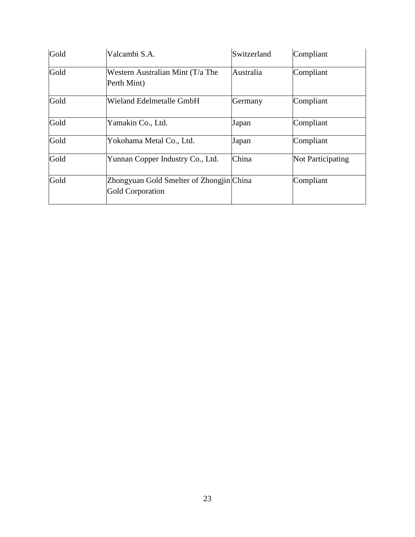| Gold | Valcambi S.A.                                                       | Switzerland | Compliant                |
|------|---------------------------------------------------------------------|-------------|--------------------------|
| Gold | Western Australian Mint (T/a The<br>Perth Mint)                     | Australia   | Compliant                |
| Gold | Wieland Edelmetalle GmbH                                            | Germany     | Compliant                |
| Gold | Yamakin Co., Ltd.                                                   | Japan       | Compliant                |
| Gold | Yokohama Metal Co., Ltd.                                            | Japan       | Compliant                |
| Gold | Yunnan Copper Industry Co., Ltd.                                    | China       | <b>Not Participating</b> |
| Gold | Zhongyuan Gold Smelter of Zhongjin China<br><b>Gold Corporation</b> |             | Compliant                |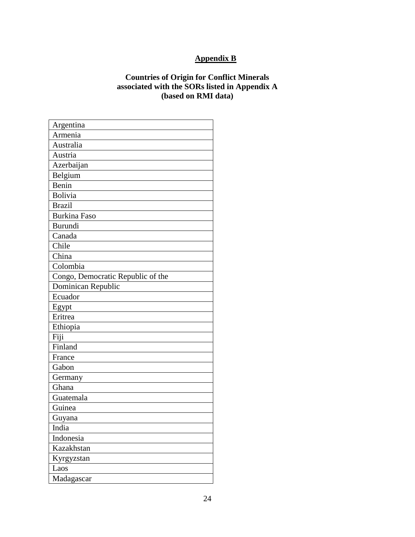# **Appendix B**

# **Countries of Origin for Conflict Minerals associated with the SORs listed in Appendix A (based on RMI data)**

| Argentina                         |
|-----------------------------------|
| Armenia                           |
| Australia                         |
| Austria                           |
| Azerbaijan                        |
| Belgium                           |
| Benin                             |
| <b>Bolivia</b>                    |
| <b>Brazil</b>                     |
| <b>Burkina Faso</b>               |
| <b>Burundi</b>                    |
| Canada                            |
| Chile                             |
| China                             |
| Colombia                          |
| Congo, Democratic Republic of the |
| Dominican Republic                |
| Ecuador                           |
| Egypt                             |
| Eritrea                           |
| Ethiopia                          |
| Fiji                              |
| Finland                           |
| France                            |
| Gabon                             |
| Germany                           |
| Ghana                             |
| Guatemala                         |
| Guinea                            |
| Guyana                            |
| India                             |
| Indonesia                         |
| Kazakhstan                        |
| Kyrgyzstan                        |
| Laos                              |
| Madagascar                        |
|                                   |